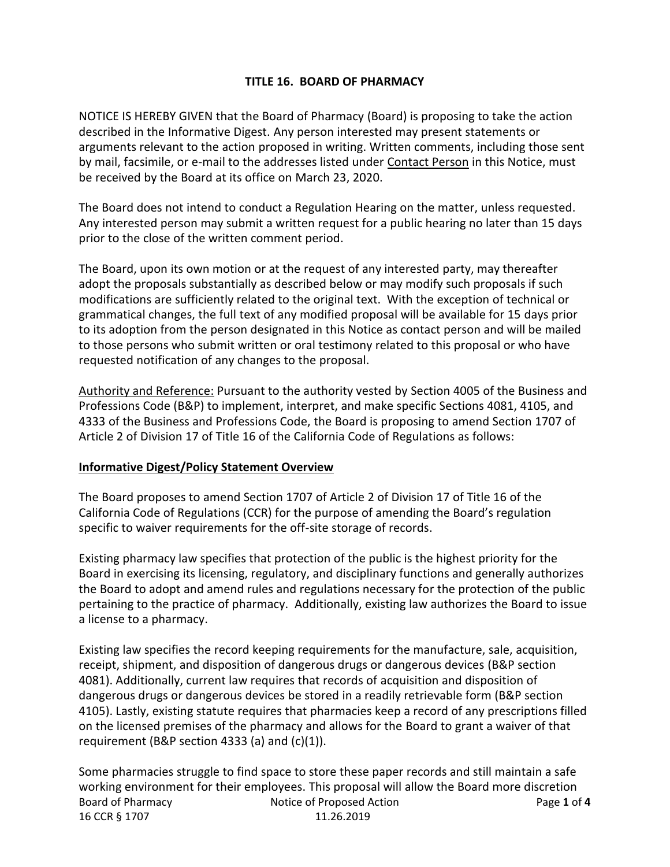# **TITLE 16. BOARD OF PHARMACY**

NOTICE IS HEREBY GIVEN that the Board of Pharmacy (Board) is proposing to take the action described in the Informative Digest. Any person interested may present statements or arguments relevant to the action proposed in writing. Written comments, including those sent by mail, facsimile, or e-mail to the addresses listed under Contact Person in this Notice, must be received by the Board at its office on March 23, 2020.

The Board does not intend to conduct a Regulation Hearing on the matter, unless requested. Any interested person may submit a written request for a public hearing no later than 15 days prior to the close of the written comment period.

The Board, upon its own motion or at the request of any interested party, may thereafter adopt the proposals substantially as described below or may modify such proposals if such modifications are sufficiently related to the original text. With the exception of technical or grammatical changes, the full text of any modified proposal will be available for 15 days prior to its adoption from the person designated in this Notice as contact person and will be mailed to those persons who submit written or oral testimony related to this proposal or who have requested notification of any changes to the proposal.

Authority and Reference: Pursuant to the authority vested by Section 4005 of the Business and Professions Code (B&P) to implement, interpret, and make specific Sections 4081, 4105, and 4333 of the Business and Professions Code, the Board is proposing to amend Section 1707 of Article 2 of Division 17 of Title 16 of the California Code of Regulations as follows:

## **Informative Digest/Policy Statement Overview**

The Board proposes to amend Section 1707 of Article 2 of Division 17 of Title 16 of the California Code of Regulations (CCR) for the purpose of amending the Board's regulation specific to waiver requirements for the off-site storage of records.

Existing pharmacy law specifies that protection of the public is the highest priority for the Board in exercising its licensing, regulatory, and disciplinary functions and generally authorizes the Board to adopt and amend rules and regulations necessary for the protection of the public pertaining to the practice of pharmacy. Additionally, existing law authorizes the Board to issue a license to a pharmacy.

Existing law specifies the record keeping requirements for the manufacture, sale, acquisition, receipt, shipment, and disposition of dangerous drugs or dangerous devices (B&P section 4081). Additionally, current law requires that records of acquisition and disposition of dangerous drugs or dangerous devices be stored in a readily retrievable form (B&P section 4105). Lastly, existing statute requires that pharmacies keep a record of any prescriptions filled on the licensed premises of the pharmacy and allows for the Board to grant a waiver of that requirement (B&P section 4333 (a) and (c)(1)).

Board of Pharmacy **Notice of Proposed Action** Page 1 of 4 16 CCR § 1707 11.26.2019 Some pharmacies struggle to find space to store these paper records and still maintain a safe working environment for their employees. This proposal will allow the Board more discretion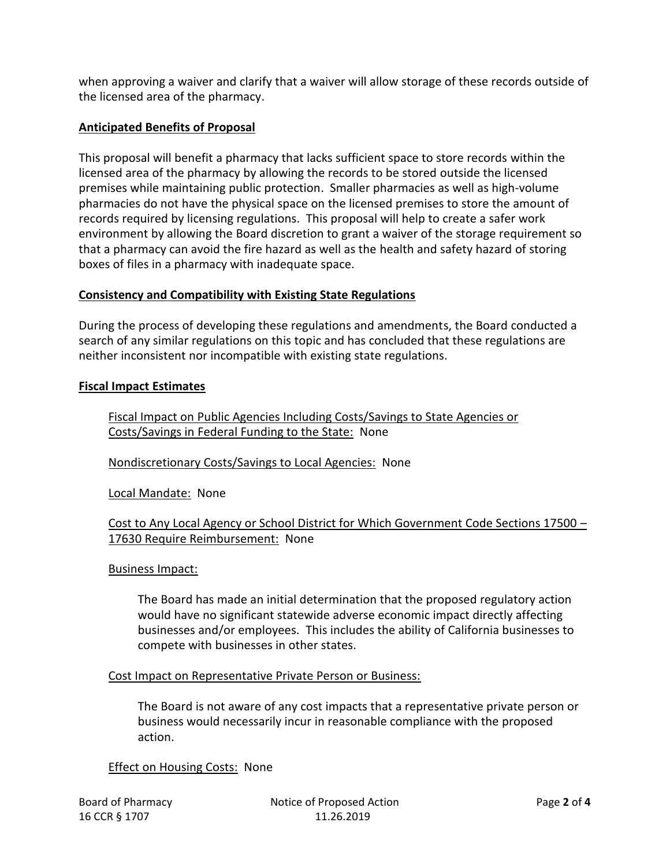when approving a waiver and clarify that a waiver will allow storage of these records outside of the licensed area of the pharmacy.

# **Anticipated Benefits of Proposal**

This proposal will benefit a pharmacy that lacks sufficient space to store records within the licensed area of the pharmacy by allowing the records to be stored outside the licensed premises while maintaining public protection. Smaller pharmacies as well as high-volume pharmacies do not have the physical space on the licensed premises to store the amount of records required by licensing regulations. This proposal will help to create a safer work environment by allowing the Board discretion to grant a waiver of the storage requirement so that a pharmacy can avoid the fire hazard as well as the health and safety hazard of storing boxes of files in a pharmacy with inadequate space.

## **Consistency and Compatibility with Existing State Regulations**

During the process of developing these regulations and amendments, the Board conducted a search of any similar regulations on this topic and has concluded that these regulations are neither inconsistent nor incompatible with existing state regulations.

## **Fiscal Impact Estimates**

Fiscal Impact on Public Agencies Including Costs/Savings to State Agencies or Costs/Savings in Federal Funding to the State: None

Nondiscretionary Costs/Savings to Local Agencies: None

Local Mandate: None

## Cost to Any Local Agency or School District for Which Government Code Sections 17500 – 17630 Require Reimbursement: None

#### Business Impact:

The Board has made an initial determination that the proposed regulatory action would have no significant statewide adverse economic impact directly affecting businesses and/or employees. This includes the ability of California businesses to compete with businesses in other states.

#### Cost Impact on Representative Private Person or Business:

The Board is not aware of any cost impacts that a representative private person or business would necessarily incur in reasonable compliance with the proposed action.

## Effect on Housing Costs: None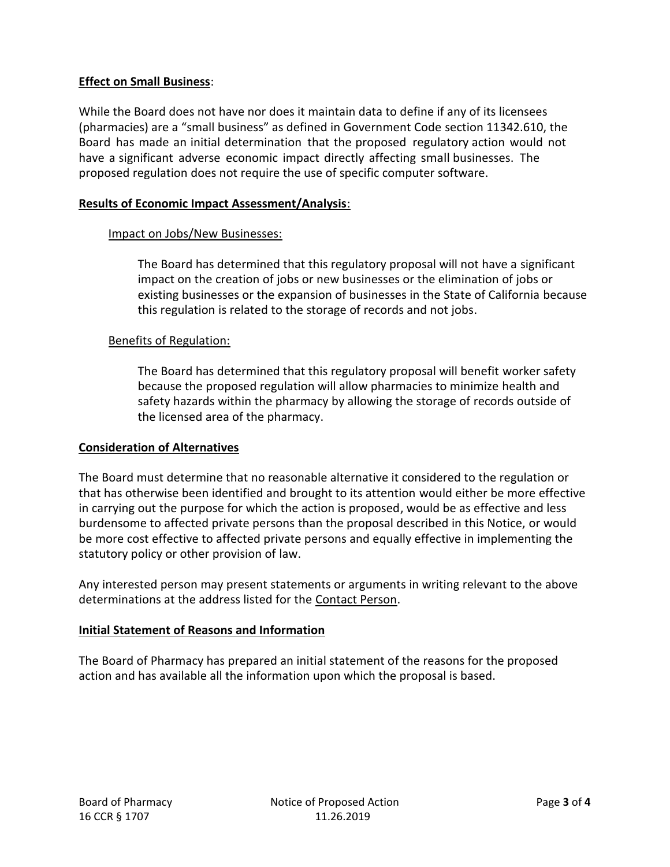# **Effect on Small Business**:

While the Board does not have nor does it maintain data to define if any of its licensees (pharmacies) are a "small business" as defined in Government Code section 11342.610, the Board has made an initial determination that the proposed regulatory action would not have a significant adverse economic impact directly affecting small businesses. The proposed regulation does not require the use of specific computer software.

## **Results of Economic Impact Assessment/Analysis**:

## Impact on Jobs/New Businesses:

The Board has determined that this regulatory proposal will not have a significant impact on the creation of jobs or new businesses or the elimination of jobs or existing businesses or the expansion of businesses in the State of California because this regulation is related to the storage of records and not jobs.

## Benefits of Regulation:

The Board has determined that this regulatory proposal will benefit worker safety because the proposed regulation will allow pharmacies to minimize health and safety hazards within the pharmacy by allowing the storage of records outside of the licensed area of the pharmacy.

## **Consideration of Alternatives**

The Board must determine that no reasonable alternative it considered to the regulation or that has otherwise been identified and brought to its attention would either be more effective in carrying out the purpose for which the action is proposed, would be as effective and less burdensome to affected private persons than the proposal described in this Notice, or would be more cost effective to affected private persons and equally effective in implementing the statutory policy or other provision of law.

Any interested person may present statements or arguments in writing relevant to the above determinations at the address listed for the Contact Person.

## **Initial Statement of Reasons and Information**

The Board of Pharmacy has prepared an initial statement of the reasons for the proposed action and has available all the information upon which the proposal is based.